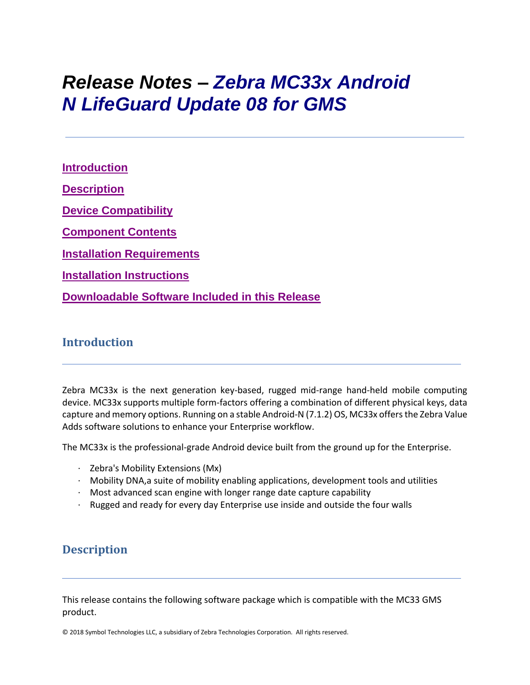# *Release Notes – Zebra MC33x Android N LifeGuard Update 08 for GMS*

**[Introduction](file:///C:/Users/GRM1/Desktop/Falcon_Ironman_N_RN/MC33%20GMS%20Release%20Notes%20v01-01-48-NG-00-A_Update003.htm%23_Introduction) [Description](file:///C:/Users/GRM1/Desktop/Falcon_Ironman_N_RN/MC33%20GMS%20Release%20Notes%20v01-01-48-NG-00-A_Update003.htm%23Description) [Device Compatibility](file:///C:/Users/GRM1/Desktop/Falcon_Ironman_N_RN/MC33%20GMS%20Release%20Notes%20v01-01-48-NG-00-A_Update003.htm%23DeviceCompatibility) [Component Contents](file:///C:/Users/GRM1/Desktop/Falcon_Ironman_N_RN/MC33%20GMS%20Release%20Notes%20v01-01-48-NG-00-A_Update003.htm%23ComponentContents) [Installation Requirements](file:///C:/Users/GRM1/Desktop/Falcon_Ironman_N_RN/MC33%20GMS%20Release%20Notes%20v01-01-48-NG-00-A_Update003.htm%23InstallationRequirements) [Installation Instructions](file:///C:/Users/GRM1/Desktop/Falcon_Ironman_N_RN/MC33%20GMS%20Release%20Notes%20v01-01-48-NG-00-A_Update003.htm%23InstallationInstructions) [Downloadable Software Included in this Release](#page-9-0)**

### **Introduction**

Zebra MC33x is the next generation key-based, rugged mid-range hand-held mobile computing device. MC33x supports multiple form-factors offering a combination of different physical keys, data capture and memory options. Running on a stable Android-N (7.1.2) OS, MC33x offers the Zebra Value Adds software solutions to enhance your Enterprise workflow.

The MC33x is the professional-grade Android device built from the ground up for the Enterprise.

- · Zebra's Mobility Extensions (Mx)
- · Mobility DNA,a suite of mobility enabling applications, development tools and utilities
- · Most advanced scan engine with longer range date capture capability
- · Rugged and ready for every day Enterprise use inside and outside the four walls

### **Description**

This release contains the following software package which is compatible with the MC33 GMS product.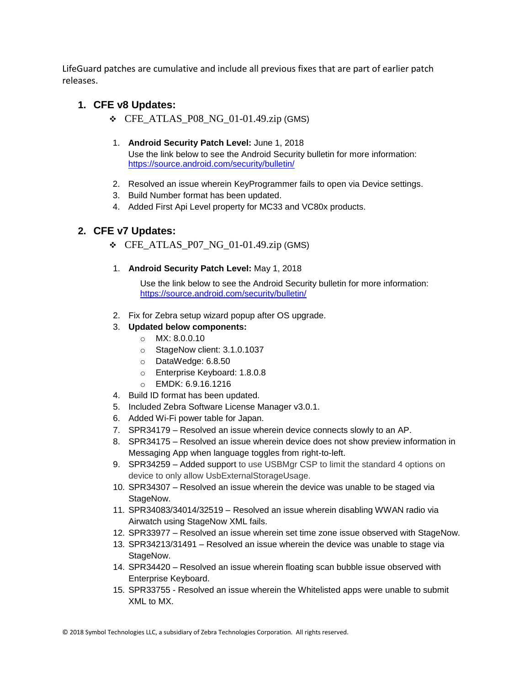LifeGuard patches are cumulative and include all previous fixes that are part of earlier patch releases.

### **1. CFE v8 Updates:**

- ❖ CFE\_ATLAS\_P08\_NG\_01-01.49.zip (GMS)
- 1. **Android Security Patch Level:** June 1, 2018 Use the link below to see the Android Security bulletin for more information: <https://source.android.com/security/bulletin/>
- 2. Resolved an issue wherein KeyProgrammer fails to open via Device settings.
- 3. Build Number format has been updated.
- 4. Added First Api Level property for MC33 and VC80x products.

#### **2. CFE v7 Updates:**

- $\div$  CFE\_ATLAS\_P07\_NG\_01-01.49.zip (GMS)
- 1. **Android Security Patch Level:** May 1, 2018

Use the link below to see the Android Security bulletin for more information: <https://source.android.com/security/bulletin/>

- 2. Fix for Zebra setup wizard popup after OS upgrade.
- 3. **Updated below components:**
	- o MX: 8.0.0.10
	- o StageNow client: 3.1.0.1037
	- o DataWedge: 6.8.50
	- o Enterprise Keyboard: 1.8.0.8
	- o EMDK: 6.9.16.1216
- 4. Build ID format has been updated.
- 5. Included Zebra Software License Manager v3.0.1.
- 6. Added Wi-Fi power table for Japan.
- 7. SPR34179 Resolved an issue wherein device connects slowly to an AP.
- 8. SPR34175 Resolved an issue wherein device does not show preview information in Messaging App when language toggles from right-to-left.
- 9. SPR34259 Added support to use USBMgr CSP to limit the standard 4 options on device to only allow UsbExternalStorageUsage.
- 10. SPR34307 Resolved an issue wherein the device was unable to be staged via StageNow.
- 11. SPR34083/34014/32519 Resolved an issue wherein disabling WWAN radio via Airwatch using StageNow XML fails.
- 12. SPR33977 Resolved an issue wherein set time zone issue observed with StageNow.
- 13. SPR34213/31491 Resolved an issue wherein the device was unable to stage via StageNow.
- 14. SPR34420 Resolved an issue wherein floating scan bubble issue observed with Enterprise Keyboard.
- 15. SPR33755 Resolved an issue wherein the Whitelisted apps were unable to submit XML to MX.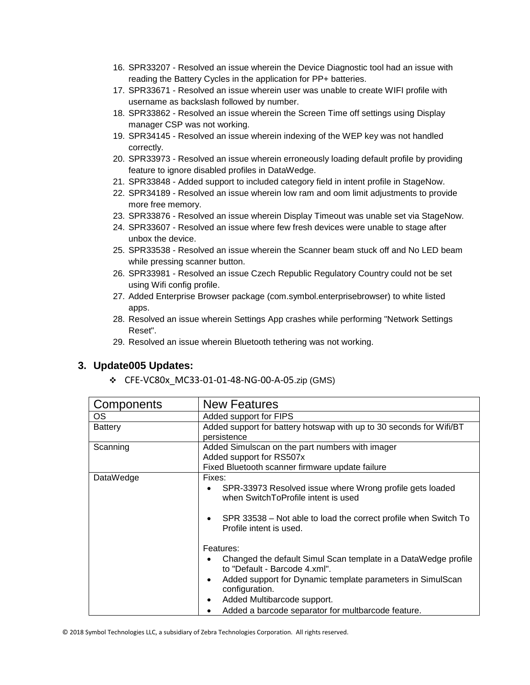- 16. SPR33207 Resolved an issue wherein the Device Diagnostic tool had an issue with reading the Battery Cycles in the application for PP+ batteries.
- 17. SPR33671 Resolved an issue wherein user was unable to create WIFI profile with username as backslash followed by number.
- 18. SPR33862 Resolved an issue wherein the Screen Time off settings using Display manager CSP was not working.
- 19. SPR34145 Resolved an issue wherein indexing of the WEP key was not handled correctly.
- 20. SPR33973 Resolved an issue wherein erroneously loading default profile by providing feature to ignore disabled profiles in DataWedge.
- 21. SPR33848 Added support to included category field in intent profile in StageNow.
- 22. SPR34189 Resolved an issue wherein low ram and oom limit adjustments to provide more free memory.
- 23. SPR33876 Resolved an issue wherein Display Timeout was unable set via StageNow.
- 24. SPR33607 Resolved an issue where few fresh devices were unable to stage after unbox the device.
- 25. SPR33538 Resolved an issue wherein the Scanner beam stuck off and No LED beam while pressing scanner button.
- 26. SPR33981 Resolved an issue Czech Republic Regulatory Country could not be set using Wifi config profile.
- 27. Added Enterprise Browser package (com.symbol.enterprisebrowser) to white listed apps.
- 28. Resolved an issue wherein Settings App crashes while performing "Network Settings Reset".
- 29. Resolved an issue wherein Bluetooth tethering was not working.

#### **3. Update005 Updates:**

❖ CFE-VC80x\_MC33-01-01-48-NG-00-A-05.zip (GMS)

| Components     | <b>New Features</b>                                                                             |  |
|----------------|-------------------------------------------------------------------------------------------------|--|
| OS             | Added support for FIPS                                                                          |  |
| <b>Battery</b> | Added support for battery hotswap with up to 30 seconds for Wifi/BT                             |  |
|                | persistence                                                                                     |  |
| Scanning       | Added Simulscan on the part numbers with imager                                                 |  |
|                | Added support for RS507x                                                                        |  |
|                | Fixed Bluetooth scanner firmware update failure                                                 |  |
| DataWedge      | Fixes:                                                                                          |  |
|                | SPR-33973 Resolved issue where Wrong profile gets loaded<br>when SwitchToProfile intent is used |  |
|                | SPR 33538 – Not able to load the correct profile when Switch To<br>Profile intent is used.      |  |
|                | Features:                                                                                       |  |
|                | Changed the default Simul Scan template in a DataWedge profile<br>to "Default - Barcode 4.xml". |  |
|                | Added support for Dynamic template parameters in SimulScan<br>٠<br>configuration.               |  |
|                | Added Multibarcode support.                                                                     |  |
|                | Added a barcode separator for multbarcode feature.                                              |  |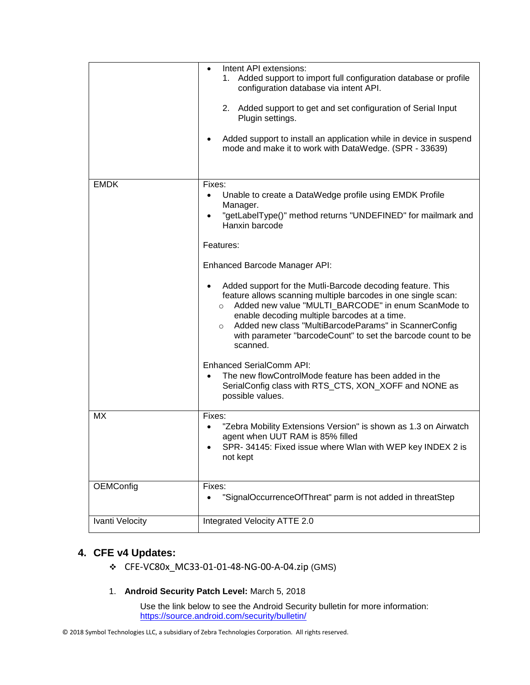|                  | Intent API extensions:<br>٠<br>Added support to import full configuration database or profile<br>1.<br>configuration database via intent API.<br>2. Added support to get and set configuration of Serial Input<br>Plugin settings.<br>Added support to install an application while in device in suspend<br>mode and make it to work with DataWedge. (SPR - 33639)                                                                                                                                                                                                                                                                                                                                                                                                                                   |
|------------------|------------------------------------------------------------------------------------------------------------------------------------------------------------------------------------------------------------------------------------------------------------------------------------------------------------------------------------------------------------------------------------------------------------------------------------------------------------------------------------------------------------------------------------------------------------------------------------------------------------------------------------------------------------------------------------------------------------------------------------------------------------------------------------------------------|
| <b>EMDK</b>      | Fixes:<br>Unable to create a DataWedge profile using EMDK Profile<br>Manager.<br>"getLabelType()" method returns "UNDEFINED" for mailmark and<br>$\bullet$<br>Hanxin barcode<br>Features:<br>Enhanced Barcode Manager API:<br>Added support for the Mutli-Barcode decoding feature. This<br>feature allows scanning multiple barcodes in one single scan:<br>Added new value "MULTI_BARCODE" in enum ScanMode to<br>$\circ$<br>enable decoding multiple barcodes at a time.<br>Added new class "MultiBarcodeParams" in ScannerConfig<br>$\circ$<br>with parameter "barcodeCount" to set the barcode count to be<br>scanned.<br><b>Enhanced SerialComm API:</b><br>The new flowControlMode feature has been added in the<br>SerialConfig class with RTS_CTS, XON_XOFF and NONE as<br>possible values. |
| МX               | Fixes:<br>"Zebra Mobility Extensions Version" is shown as 1.3 on Airwatch<br>agent when UUT RAM is 85% filled<br>SPR- 34145: Fixed issue where Wlan with WEP key INDEX 2 is<br>not kept                                                                                                                                                                                                                                                                                                                                                                                                                                                                                                                                                                                                              |
| <b>OEMConfig</b> | Fixes:<br>"SignalOccurrenceOfThreat" parm is not added in threatStep                                                                                                                                                                                                                                                                                                                                                                                                                                                                                                                                                                                                                                                                                                                                 |
| Ivanti Velocity  | Integrated Velocity ATTE 2.0                                                                                                                                                                                                                                                                                                                                                                                                                                                                                                                                                                                                                                                                                                                                                                         |

### **4. CFE v4 Updates:**

- ❖ CFE-VC80x\_MC33-01-01-48-NG-00-A-04.zip (GMS)
- 1. **Android Security Patch Level:** March 5, 2018

Use the link below to see the Android Security bulletin for more information: <https://source.android.com/security/bulletin/>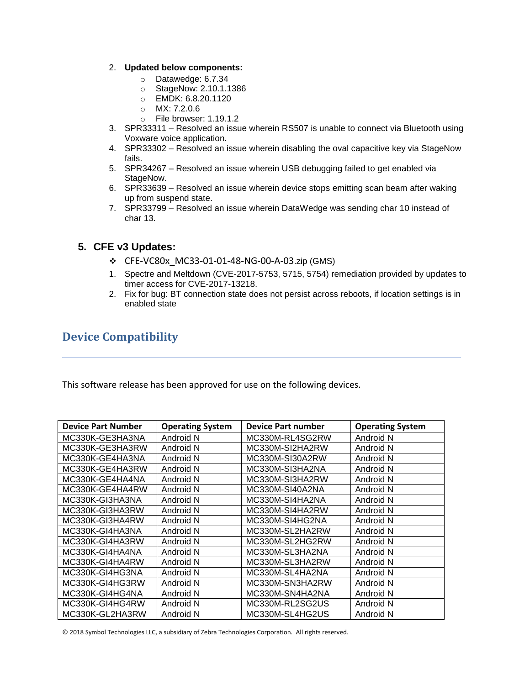#### 2. **Updated below components:**

- o Datawedge: 6.7.34
- o StageNow: 2.10.1.1386
- o EMDK: 6.8.20.1120
- o MX: 7.2.0.6
- o File browser: 1.19.1.2
- 3. SPR33311 Resolved an issue wherein RS507 is unable to connect via Bluetooth using Voxware voice application.
- 4. SPR33302 Resolved an issue wherein disabling the oval capacitive key via StageNow fails.
- 5. SPR34267 Resolved an issue wherein USB debugging failed to get enabled via StageNow.
- 6. SPR33639 Resolved an issue wherein device stops emitting scan beam after waking up from suspend state.
- 7. SPR33799 Resolved an issue wherein DataWedge was sending char 10 instead of char 13.

#### **5. CFE v3 Updates:**

- ❖ CFE-VC80x\_MC33-01-01-48-NG-00-A-03.zip (GMS)
- 1. Spectre and Meltdown (CVE-2017-5753, 5715, 5754) remediation provided by updates to timer access for CVE-2017-13218.
- 2. Fix for bug: BT connection state does not persist across reboots, if location settings is in enabled state

### **Device Compatibility**

This software release has been approved for use on the following devices.

| <b>Device Part Number</b> | <b>Operating System</b> | <b>Device Part number</b> | <b>Operating System</b> |
|---------------------------|-------------------------|---------------------------|-------------------------|
| MC330K-GE3HA3NA           | Android N               | MC330M-RL4SG2RW           | Android N               |
| MC330K-GE3HA3RW           | Android N               | MC330M-SI2HA2RW           | Android N               |
| MC330K-GE4HA3NA           | Android N               | MC330M-SI30A2RW           | Android N               |
| MC330K-GE4HA3RW           | Android N               | MC330M-SI3HA2NA           | Android N               |
| MC330K-GE4HA4NA           | Android N               | MC330M-SI3HA2RW           | Android N               |
| MC330K-GE4HA4RW           | Android N               | MC330M-SI40A2NA           | Android N               |
| MC330K-GI3HA3NA           | Android N               | MC330M-SI4HA2NA           | Android N               |
| MC330K-GI3HA3RW           | Android N               | MC330M-SI4HA2RW           | Android N               |
| MC330K-GI3HA4RW           | Android N               | MC330M-SI4HG2NA           | Android N               |
| MC330K-GI4HA3NA           | Android N               | MC330M-SL2HA2RW           | Android N               |
| MC330K-GI4HA3RW           | Android N               | MC330M-SL2HG2RW           | Android N               |
| MC330K-GI4HA4NA           | Android N               | MC330M-SL3HA2NA           | Android N               |
| MC330K-GI4HA4RW           | Android N               | MC330M-SL3HA2RW           | Android N               |
| MC330K-GI4HG3NA           | Android N               | MC330M-SL4HA2NA           | Android N               |
| MC330K-GI4HG3RW           | Android N               | MC330M-SN3HA2RW           | Android N               |
| MC330K-GI4HG4NA           | Android N               | MC330M-SN4HA2NA           | Android N               |
| MC330K-GI4HG4RW           | Android N               | MC330M-RL2SG2US           | Android N               |
| MC330K-GL2HA3RW           | Android N               | MC330M-SL4HG2US           | Android N               |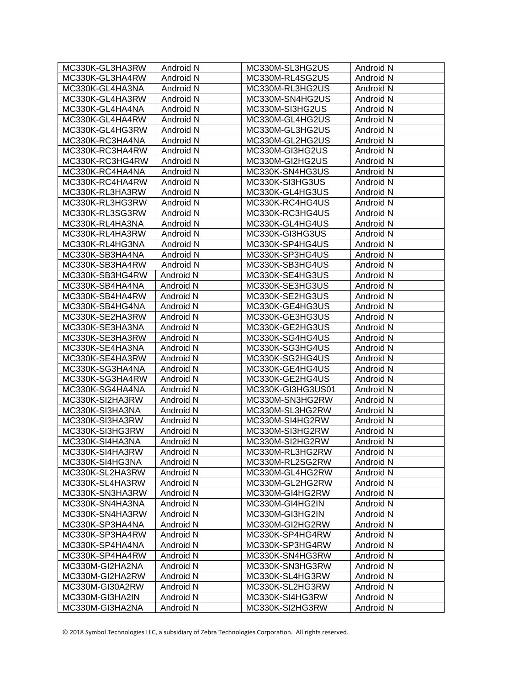| MC330K-GL3HA3RW | Android N | MC330M-SL3HG2US   | Android N |
|-----------------|-----------|-------------------|-----------|
| MC330K-GL3HA4RW | Android N | MC330M-RL4SG2US   | Android N |
| MC330K-GL4HA3NA | Android N | MC330M-RL3HG2US   | Android N |
| MC330K-GL4HA3RW | Android N | MC330M-SN4HG2US   | Android N |
| MC330K-GL4HA4NA | Android N | MC330M-SI3HG2US   | Android N |
| MC330K-GL4HA4RW | Android N | MC330M-GL4HG2US   | Android N |
| MC330K-GL4HG3RW | Android N | MC330M-GL3HG2US   | Android N |
| MC330K-RC3HA4NA | Android N | MC330M-GL2HG2US   | Android N |
| MC330K-RC3HA4RW | Android N | MC330M-GI3HG2US   | Android N |
| MC330K-RC3HG4RW | Android N | MC330M-GI2HG2US   | Android N |
| MC330K-RC4HA4NA | Android N | MC330K-SN4HG3US   | Android N |
| MC330K-RC4HA4RW | Android N | MC330K-SI3HG3US   | Android N |
| MC330K-RL3HA3RW | Android N | MC330K-GL4HG3US   | Android N |
| MC330K-RL3HG3RW | Android N | MC330K-RC4HG4US   | Android N |
| MC330K-RL3SG3RW | Android N | MC330K-RC3HG4US   | Android N |
| MC330K-RL4HA3NA | Android N | MC330K-GL4HG4US   | Android N |
| MC330K-RL4HA3RW | Android N | MC330K-GI3HG3US   | Android N |
| MC330K-RL4HG3NA | Android N | MC330K-SP4HG4US   | Android N |
| MC330K-SB3HA4NA | Android N | MC330K-SP3HG4US   | Android N |
| MC330K-SB3HA4RW | Android N | MC330K-SB3HG4US   | Android N |
| MC330K-SB3HG4RW | Android N | MC330K-SE4HG3US   | Android N |
| MC330K-SB4HA4NA | Android N | MC330K-SE3HG3US   | Android N |
| MC330K-SB4HA4RW | Android N | MC330K-SE2HG3US   | Android N |
| MC330K-SB4HG4NA | Android N | MC330K-GE4HG3US   | Android N |
| MC330K-SE2HA3RW | Android N | MC330K-GE3HG3US   | Android N |
| MC330K-SE3HA3NA | Android N | MC330K-GE2HG3US   | Android N |
| MC330K-SE3HA3RW | Android N | MC330K-SG4HG4US   | Android N |
| MC330K-SE4HA3NA | Android N | MC330K-SG3HG4US   | Android N |
| MC330K-SE4HA3RW | Android N | MC330K-SG2HG4US   | Android N |
| MC330K-SG3HA4NA | Android N | MC330K-GE4HG4US   | Android N |
| MC330K-SG3HA4RW | Android N | MC330K-GE2HG4US   | Android N |
| MC330K-SG4HA4NA | Android N | MC330K-GI3HG3US01 | Android N |
| MC330K-SI2HA3RW | Android N | MC330M-SN3HG2RW   | Android N |
| MC330K-SI3HA3NA | Android N | MC330M-SL3HG2RW   | Android N |
| MC330K-SI3HA3RW | Android N | MC330M-SI4HG2RW   | Android N |
| MC330K-SI3HG3RW | Android N | MC330M-SI3HG2RW   | Android N |
| MC330K-SI4HA3NA | Android N | MC330M-SI2HG2RW   | Android N |
| MC330K-SI4HA3RW | Android N | MC330M-RL3HG2RW   | Android N |
| MC330K-SI4HG3NA | Android N | MC330M-RL2SG2RW   | Android N |
| MC330K-SL2HA3RW | Android N | MC330M-GL4HG2RW   | Android N |
| MC330K-SL4HA3RW | Android N | MC330M-GL2HG2RW   | Android N |
| MC330K-SN3HA3RW | Android N | MC330M-GI4HG2RW   | Android N |
| MC330K-SN4HA3NA | Android N | MC330M-GI4HG2IN   | Android N |
| MC330K-SN4HA3RW | Android N | MC330M-GI3HG2IN   | Android N |
| MC330K-SP3HA4NA | Android N | MC330M-GI2HG2RW   | Android N |
| MC330K-SP3HA4RW | Android N | MC330K-SP4HG4RW   | Android N |
| MC330K-SP4HA4NA | Android N | MC330K-SP3HG4RW   | Android N |
| MC330K-SP4HA4RW | Android N | MC330K-SN4HG3RW   | Android N |
| MC330M-GI2HA2NA | Android N | MC330K-SN3HG3RW   | Android N |
| MC330M-GI2HA2RW | Android N | MC330K-SL4HG3RW   | Android N |
| MC330M-GI30A2RW | Android N | MC330K-SL2HG3RW   | Android N |
| MC330M-GI3HA2IN | Android N | MC330K-SI4HG3RW   | Android N |
| MC330M-GI3HA2NA | Android N | MC330K-SI2HG3RW   | Android N |
|                 |           |                   |           |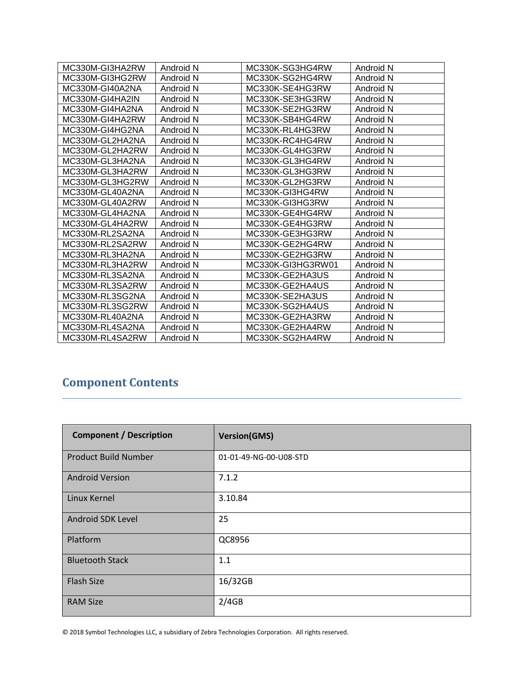| MC330M-GI3HA2RW | Android N | MC330K-SG3HG4RW   | Android N |
|-----------------|-----------|-------------------|-----------|
| MC330M-GI3HG2RW | Android N | MC330K-SG2HG4RW   | Android N |
| MC330M-GI40A2NA | Android N | MC330K-SE4HG3RW   | Android N |
| MC330M-GI4HA2IN | Android N | MC330K-SE3HG3RW   | Android N |
| MC330M-GI4HA2NA | Android N | MC330K-SE2HG3RW   | Android N |
| MC330M-GI4HA2RW | Android N | MC330K-SB4HG4RW   | Android N |
| MC330M-GI4HG2NA | Android N | MC330K-RL4HG3RW   | Android N |
| MC330M-GL2HA2NA | Android N | MC330K-RC4HG4RW   | Android N |
| MC330M-GL2HA2RW | Android N | MC330K-GL4HG3RW   | Android N |
| MC330M-GL3HA2NA | Android N | MC330K-GL3HG4RW   | Android N |
| MC330M-GL3HA2RW | Android N | MC330K-GL3HG3RW   | Android N |
| MC330M-GL3HG2RW | Android N | MC330K-GL2HG3RW   | Android N |
| MC330M-GL40A2NA | Android N | MC330K-GI3HG4RW   | Android N |
| MC330M-GL40A2RW | Android N | MC330K-GI3HG3RW   | Android N |
| MC330M-GL4HA2NA | Android N | MC330K-GE4HG4RW   | Android N |
| MC330M-GL4HA2RW | Android N | MC330K-GE4HG3RW   | Android N |
| MC330M-RL2SA2NA | Android N | MC330K-GE3HG3RW   | Android N |
| MC330M-RL2SA2RW | Android N | MC330K-GE2HG4RW   | Android N |
| MC330M-RL3HA2NA | Android N | MC330K-GE2HG3RW   | Android N |
| MC330M-RL3HA2RW | Android N | MC330K-GI3HG3RW01 | Android N |
| MC330M-RL3SA2NA | Android N | MC330K-GE2HA3US   | Android N |
| MC330M-RL3SA2RW | Android N | MC330K-GE2HA4US   | Android N |
| MC330M-RL3SG2NA | Android N | MC330K-SE2HA3US   | Android N |
| MC330M-RL3SG2RW | Android N | MC330K-SG2HA4US   | Android N |
| MC330M-RL40A2NA | Android N | MC330K-GE2HA3RW   | Android N |
| MC330M-RL4SA2NA | Android N | MC330K-GE2HA4RW   | Android N |
| MC330M-RL4SA2RW | Android N | MC330K-SG2HA4RW   | Android N |

## **Component Contents**

| <b>Component / Description</b> | <b>Version(GMS)</b>    |
|--------------------------------|------------------------|
| <b>Product Build Number</b>    | 01-01-49-NG-00-U08-STD |
| <b>Android Version</b>         | 7.1.2                  |
| Linux Kernel                   | 3.10.84                |
| Android SDK Level              | 25                     |
| Platform                       | QC8956                 |
| <b>Bluetooth Stack</b>         | 1.1                    |
| <b>Flash Size</b>              | 16/32GB                |
| <b>RAM Size</b>                | 2/4GB                  |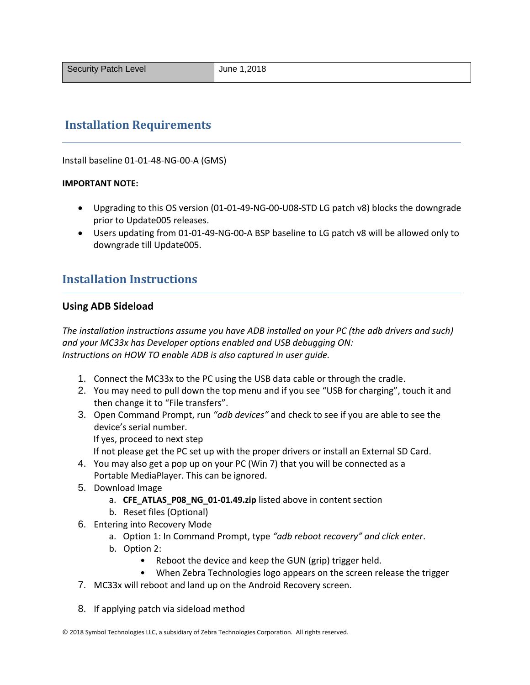### **Installation Requirements**

Install baseline 01-01-48-NG-00-A (GMS)

#### **IMPORTANT NOTE:**

- Upgrading to this OS version (01-01-49-NG-00-U08-STD LG patch v8) blocks the downgrade prior to Update005 releases.
- Users updating from 01-01-49-NG-00-A BSP baseline to LG patch v8 will be allowed only to downgrade till Update005.

### **Installation Instructions**

#### **Using ADB Sideload**

*The installation instructions assume you have ADB installed on your PC (the adb drivers and such) and your MC33x has Developer options enabled and USB debugging ON: Instructions on HOW TO enable ADB is also captured in user guide.*

- 1. Connect the MC33x to the PC using the USB data cable or through the cradle.
- 2. You may need to pull down the top menu and if you see "USB for charging", touch it and then change it to "File transfers".
- 3. Open Command Prompt, run *"adb devices"* and check to see if you are able to see the device's serial number.

If yes, proceed to next step

If not please get the PC set up with the proper drivers or install an External SD Card.

- 4. You may also get a pop up on your PC (Win 7) that you will be connected as a Portable MediaPlayer. This can be ignored.
- 5. Download Image
	- a. **CFE\_ATLAS\_P08\_NG\_01-01.49.zip** listed above in content section
	- b. Reset files (Optional)
- 6. Entering into Recovery Mode
	- a. Option 1: In Command Prompt, type *"adb reboot recovery" and click enter*.
	- b. Option 2:
		- Reboot the device and keep the GUN (grip) trigger held.
		- When Zebra Technologies logo appears on the screen release the trigger
- 7. MC33x will reboot and land up on the Android Recovery screen.
- 8. If applying patch via sideload method

<sup>© 2018</sup> Symbol Technologies LLC, a subsidiary of Zebra Technologies Corporation. All rights reserved.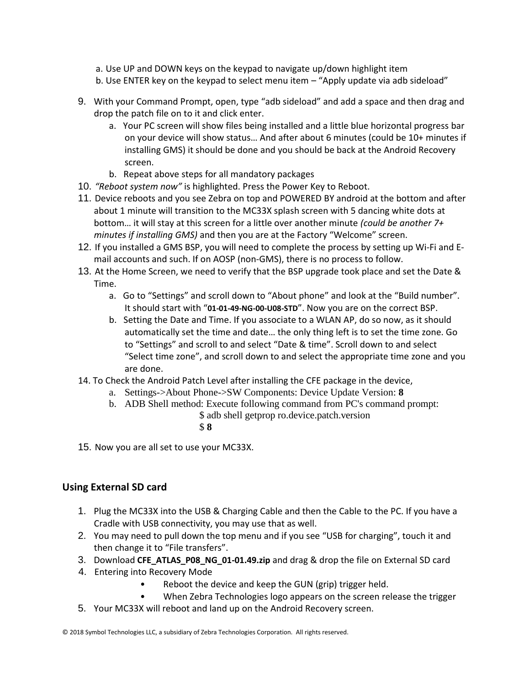- a. Use UP and DOWN keys on the keypad to navigate up/down highlight item
- b. Use ENTER key on the keypad to select menu item "Apply update via adb sideload"
- 9. With your Command Prompt, open, type "adb sideload" and add a space and then drag and drop the patch file on to it and click enter.
	- a. Your PC screen will show files being installed and a little blue horizontal progress bar on your device will show status… And after about 6 minutes (could be 10+ minutes if installing GMS) it should be done and you should be back at the Android Recovery screen.
	- b. Repeat above steps for all mandatory packages
- 10. *"Reboot system now"* is highlighted. Press the Power Key to Reboot.
- 11. Device reboots and you see Zebra on top and POWERED BY android at the bottom and after about 1 minute will transition to the MC33X splash screen with 5 dancing white dots at bottom… it will stay at this screen for a little over another minute *(could be another 7+ minutes if installing GMS)* and then you are at the Factory "Welcome" screen.
- 12. If you installed a GMS BSP, you will need to complete the process by setting up Wi‐Fi and E‐ mail accounts and such. If on AOSP (non‐GMS), there is no process to follow.
- 13. At the Home Screen, we need to verify that the BSP upgrade took place and set the Date & Time.
	- a. Go to "Settings" and scroll down to "About phone" and look at the "Build number". It should start with "**01-01-49-NG-00-U08-STD**". Now you are on the correct BSP.
	- b. Setting the Date and Time. If you associate to a WLAN AP, do so now, as it should automatically set the time and date… the only thing left is to set the time zone. Go to "Settings" and scroll to and select "Date & time". Scroll down to and select "Select time zone", and scroll down to and select the appropriate time zone and you are done.
- 14. To Check the Android Patch Level after installing the CFE package in the device,
	- a. Settings->About Phone->SW Components: Device Update Version: **8**
	- b. ADB Shell method: Execute following command from PC's command prompt: \$ adb shell getprop ro.device.patch.version
		- \$ **8**
- 15. Now you are all set to use your MC33X.

#### **Using External SD card**

- 1. Plug the MC33X into the USB & Charging Cable and then the Cable to the PC. If you have a Cradle with USB connectivity, you may use that as well.
- 2. You may need to pull down the top menu and if you see "USB for charging", touch it and then change it to "File transfers".
- 3. Download **CFE\_ATLAS\_P08\_NG\_01-01.49.zip** and drag & drop the file on External SD card
- 4. Entering into Recovery Mode
	- Reboot the device and keep the GUN (grip) trigger held.
	- When Zebra Technologies logo appears on the screen release the trigger
- 5. Your MC33X will reboot and land up on the Android Recovery screen.